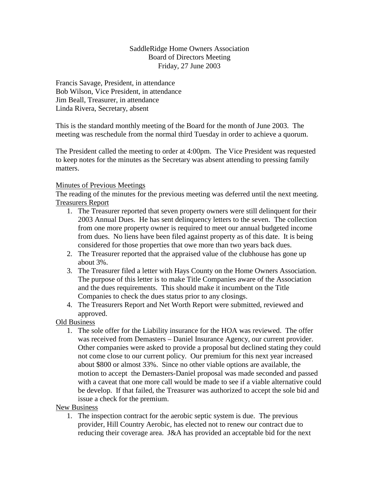## SaddleRidge Home Owners Association Board of Directors Meeting Friday, 27 June 2003

Francis Savage, President, in attendance Bob Wilson, Vice President, in attendance Jim Beall, Treasurer, in attendance Linda Rivera, Secretary, absent

This is the standard monthly meeting of the Board for the month of June 2003. The meeting was reschedule from the normal third Tuesday in order to achieve a quorum.

The President called the meeting to order at 4:00pm. The Vice President was requested to keep notes for the minutes as the Secretary was absent attending to pressing family matters.

## Minutes of Previous Meetings

The reading of the minutes for the previous meeting was deferred until the next meeting. Treasurers Report

- 1. The Treasurer reported that seven property owners were still delinquent for their 2003 Annual Dues. He has sent delinquency letters to the seven. The collection from one more property owner is required to meet our annual budgeted income from dues. No liens have been filed against property as of this date. It is being considered for those properties that owe more than two years back dues.
- 2. The Treasurer reported that the appraised value of the clubhouse has gone up about 3%.
- 3. The Treasurer filed a letter with Hays County on the Home Owners Association. The purpose of this letter is to make Title Companies aware of the Association and the dues requirements. This should make it incumbent on the Title Companies to check the dues status prior to any closings.
- 4. The Treasurers Report and Net Worth Report were submitted, reviewed and approved.

Old Business

1. The sole offer for the Liability insurance for the HOA was reviewed. The offer was received from Demasters – Daniel Insurance Agency, our current provider. Other companies were asked to provide a proposal but declined stating they could not come close to our current policy. Our premium for this next year increased about \$800 or almost 33%. Since no other viable options are available, the motion to accept the Demasters-Daniel proposal was made seconded and passed with a caveat that one more call would be made to see if a viable alternative could be develop. If that failed, the Treasurer was authorized to accept the sole bid and issue a check for the premium.

New Business

1. The inspection contract for the aerobic septic system is due. The previous provider, Hill Country Aerobic, has elected not to renew our contract due to reducing their coverage area. J&A has provided an acceptable bid for the next